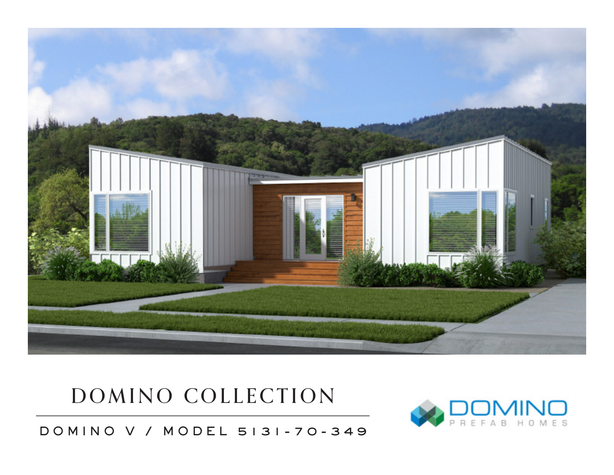

## DOMINO COLLECTION



DOMINO V / MODEL 5131-70-349